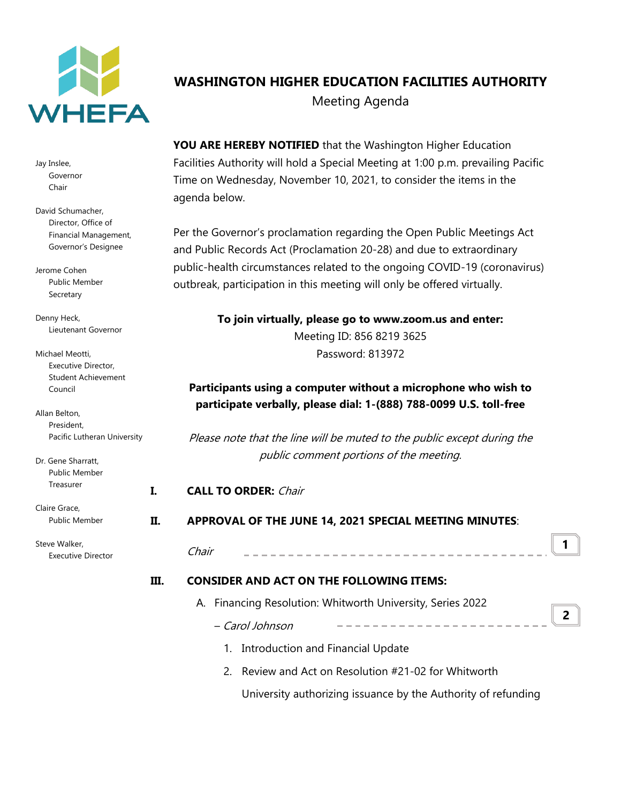

Jay Inslee, Governor Chair

David Schumacher, Director, Office of Financial Management, Governor's Designee

Jerome Cohen Public Member Secretary

Denny Heck, Lieutenant Governor

| Michael Meotti.            |
|----------------------------|
| Executive Director,        |
| <b>Student Achievement</b> |
| Council                    |

Allan Belton, President, Pacific Lutheran University

Dr. Gene Sharratt, Public Member Treasurer

Claire Grace, Public Member

Steve Walker, Executive Director

# **WASHINGTON HIGHER EDUCATION FACILITIES AUTHORITY** Meeting Agenda

**YOU ARE HEREBY NOTIFIED** that the Washington Higher Education Facilities Authority will hold a Special Meeting at 1:00 p.m. prevailing Pacific Time on Wednesday, November 10, 2021, to consider the items in the agenda below.

Per the Governor's proclamation regarding the Open Public Meetings Act and Public Records Act (Proclamation 20-28) and due to extraordinary public-health circumstances related to the ongoing COVID-19 (coronavirus) outbreak, participation in this meeting will only be offered virtually.

> **To join virtually, please go to www.zoom.us and enter:** Meeting ID: 856 8219 3625 Password: 813972

# **Participants using a computer without a microphone who wish to participate verbally, please dial: 1-(888) 788-0099 U.S. toll-free**

Please note that the line will be muted to the public except during the public comment portions of the meeting.

# **I. CALL TO ORDER:** Chair

## **II. APPROVAL OF THE JUNE 14, 2021 SPECIAL MEETING MINUTES**:

| hair | ------------------------------------- |  |
|------|---------------------------------------|--|
|      |                                       |  |

## **III. CONSIDER AND ACT ON THE FOLLOWING ITEMS:**

- A. Financing Resolution: Whitworth University, Series 2022
	- Carol Johnson **2**
		- 1. Introduction and Financial Update
		- 2. Review and Act on Resolution #21-02 for Whitworth

University authorizing issuance by the Authority of refunding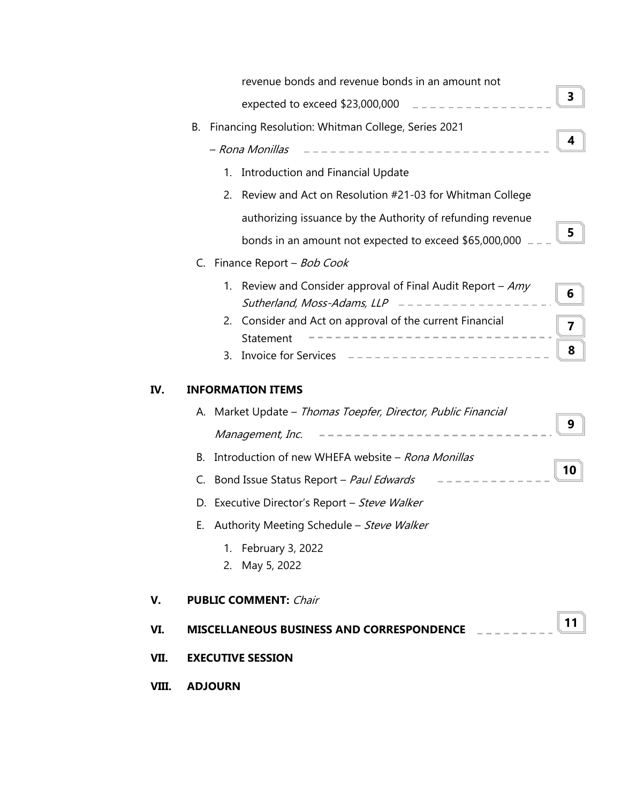|       | revenue bonds and revenue bonds in an amount not                                                               |    |
|-------|----------------------------------------------------------------------------------------------------------------|----|
|       | expected to exceed \$23,000,000 $\qquad$ _ _ _ _ _ _ _ _ _ _ _ _ _                                             | 3  |
|       | Financing Resolution: Whitman College, Series 2021<br>В.                                                       |    |
|       | ------------------------<br>- Rona Monillas                                                                    | 4  |
|       | 1. Introduction and Financial Update                                                                           |    |
|       | Review and Act on Resolution #21-03 for Whitman College<br>2.                                                  |    |
|       | authorizing issuance by the Authority of refunding revenue                                                     |    |
|       | bonds in an amount not expected to exceed \$65,000,000                                                         | 5  |
|       | Finance Report - Bob Cook<br>C.                                                                                |    |
|       | Review and Consider approval of Final Audit Report – $Amy$<br>1.<br>Sutherland, Moss-Adams, LLP $------------$ | 6  |
|       | Consider and Act on approval of the current Financial<br>2.                                                    | 7  |
|       | Statement<br>3.                                                                                                | 8  |
|       |                                                                                                                |    |
| IV.   | <b>INFORMATION ITEMS</b>                                                                                       |    |
|       | A. Market Update - Thomas Toepfer, Director, Public Financial                                                  | 9  |
|       | -----------------------<br>Management, Inc.                                                                    |    |
|       | Introduction of new WHEFA website - Rona Monillas<br>В.                                                        | 10 |
|       | C. Bond Issue Status Report - Paul Edwards                                                                     |    |
|       | D. Executive Director's Report - Steve Walker                                                                  |    |
|       | E. Authority Meeting Schedule - Steve Walker                                                                   |    |
|       | 1. February 3, 2022<br>2. May 5, 2022                                                                          |    |
| V.    | <b>PUBLIC COMMENT: Chair</b>                                                                                   |    |
| VI.   | MISCELLANEOUS BUSINESS AND CORRESPONDENCE                                                                      | 11 |
| VII.  | <b>EXECUTIVE SESSION</b>                                                                                       |    |
| VIII. | <b>ADJOURN</b>                                                                                                 |    |